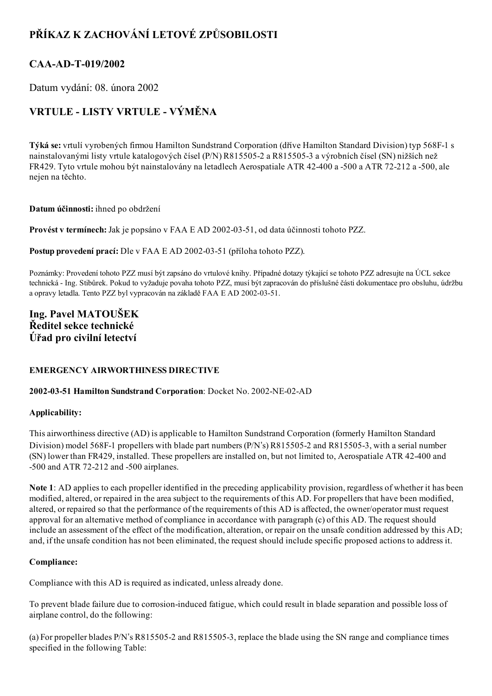## PŘÍKAZ K ZACHOVÁNÍ LETOVÉ ZPŮSOBILOSTI

### CAA-AD-T-019/2002

Datum vydání: 08. února 2002

# VRTULE - LISTY VRTULE - VÝMĚNA

Týká se: vrtulí vyrobených firmou Hamilton Sundstrand Corporation (dříve Hamilton Standard Division) typ 568F1 s nainstalovanými listy vrtule katalogových čísel (P/N) R815505-2 a R815505-3 a výrobních čísel (SN) nižších než FR429. Tyto vrtule mohou být nainstalovány na letadlech Aerospatiale ATR 42-400 a -500 a ATR 72-212 a -500, ale nejen na těchto.

#### Datum účinnosti: ihned po obdržení

Provést v termínech: Jak je popsáno v FAA E AD 2002-03-51, od data účinnosti tohoto PZZ.

Postup provedení prací: Dle v FAA E AD 2002-03-51 (příloha tohoto PZZ).

Poznámky: Provedení tohoto PZZ musí být zapsáno do vrtulové knihy. Případné dotazy týkající se tohoto PZZ adresujte na ÚCL sekce technická Ing. Stibůrek. Pokud to vyžaduje povaha tohoto PZZ, musí být zapracován do příslušné části dokumentace pro obsluhu, údržbu a opravy letadla. Tento PZZ byl vypracován na základě FAA E AD 2002-03-51.

### Ing. Pavel MATOUŠEK Ředitel sekce technické Úřad pro civilní letectví

#### EMERGENCY AIRWORTHINESS DIRECTIVE

#### 2002-03-51 Hamilton Sundstrand Corporation: Docket No. 2002-NE-02-AD

#### Applicability:

This airworthiness directive (AD) is applicable to Hamilton Sundstrand Corporation (formerly Hamilton Standard Division) model 568F-1 propellers with blade part numbers (P/N's) R815505-2 and R815505-3, with a serial number (SN) lower than FR429, installed. These propellers are installed on, but not limited to, Aerospatiale ATR 42400 and  $-500$  and ATR 72-212 and  $-500$  airplanes.

Note 1: AD applies to each propeller identified in the preceding applicability provision, regardless of whether it has been modified, altered, or repaired in the area subject to the requirements of this AD. For propellers that have been modified, altered, or repaired so that the performance of the requirements of this AD is affected, the owner/operator must request approval for an alternative method of compliance in accordance with paragraph (c) of this AD. The request should include an assessment of the effect of the modification, alteration, or repair on the unsafe condition addressed by this AD; and, if the unsafe condition has not been eliminated, the request should include specific proposed actions to address it.

#### Compliance:

Compliance with this AD is required as indicated, unless already done.

To prevent blade failure due to corrosion-induced fatigue, which could result in blade separation and possible loss of airplane control, do the following:

(a) For propeller blades P/N's R8155052 and R8155053, replace the blade using the SN range and compliance times specified in the following Table: